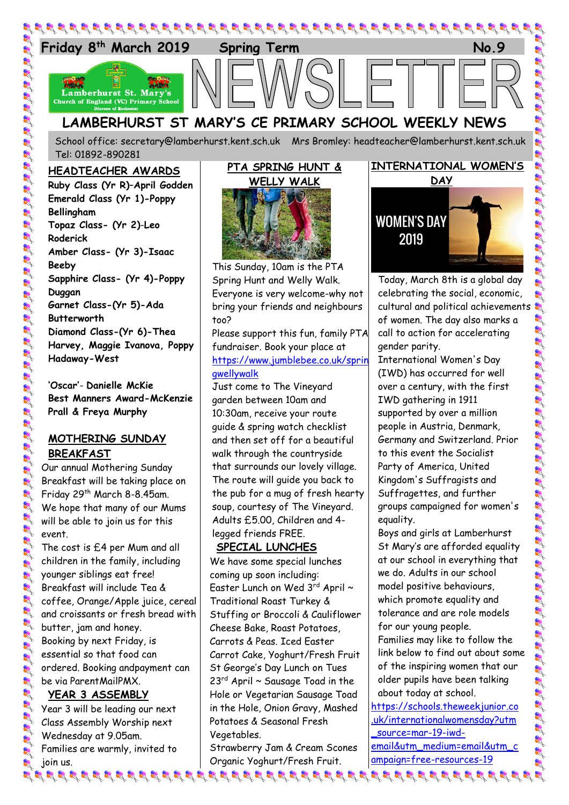

School office: [secretary@lamberhurst.kent.sch.uk](mailto:secretary@lamberhurst.kent.sch.uk) Mrs Bromley: headteacher@lamberhurst.kent.sch.uk Tel: 01892-890281

## **HEADTEACHER AWARDS**

**Ruby Class (Yr R)**–**April Godden Emerald Class (Yr 1)-Poppy Bellingham Topaz Class- (Yr 2)**-**Leo Roderick Amber Class- (Yr 3)-Isaac Beeby Sapphire Class- (Yr 4)-Poppy Duggan Garnet Class-(Yr 5)-Ada Butterworth Diamond Class-(Yr 6)-Thea Harvey, Maggie Ivanova, Poppy Hadaway-West**

**'Oscar'**- **Danielle McKie Best Manners Award-McKenzie Prall & Freya Murphy**

## **MOTHERING SUNDAY BREAKFAST**

Our annual Mothering Sunday Breakfast will be taking place on Friday 29<sup>th</sup> March 8-8.45am. We hope that many of our Mums will be able to join us for this event.

The cost is £4 per Mum and all children in the family, including younger siblings eat free! Breakfast will include Tea & coffee, Orange/Apple juice, cereal and croissants or fresh bread with butter, jam and honey. Booking by next Friday, is essential so that food can ordered. Booking andpayment can be via ParentMailPMX.

# **YEAR 3 ASSEMBLY**

Year 3 will be leading our next Class Assembly Worship next Wednesday at 9.05am. Families are warmly, invited to join us.

## **PTA SPRING HUNT & WELLY WALK**



This Sunday, 10am is the PTA Spring Hunt and Welly Walk. Everyone is very welcome-why not bring your friends and neighbours too?

Please support this fun, family PTA fundraiser. Book your place at [https://www.jumblebee.co.uk/sprin](https://www.jumblebee.co.uk/springwellywalk) [gwellywalk](https://www.jumblebee.co.uk/springwellywalk)

Just come to The Vineyard garden between 10am and 10:30am, receive your route guide & spring watch checklist and then set off for a beautiful walk through the countryside that surrounds our lovely village. The route will guide you back to the pub for a mug of fresh hearty soup, courtesy of The Vineyard. Adults £5.00, Children and 4 legged friends FREE.

# **SPECIAL LUNCHES**

We have some special lunches coming up soon including: Easter Lunch on Wed  $3^{\text{rd}}$  April  $\sim$ Traditional Roast Turkey & Stuffing or Broccoli & Cauliflower Cheese Bake, Roast Potatoes, Carrots & Peas. Iced Easter Carrot Cake, Yoghurt/Fresh Fruit St George's Day Lunch on Tues  $23<sup>rd</sup>$  April  $\sim$  Sausage Toad in the Hole or Vegetarian Sausage Toad in the Hole, Onion Gravy, Mashed Potatoes & Seasonal Fresh Vegetables.

Strawberry Jam & Cream Scones Organic Yoghurt/Fresh Fruit.

# **INTERNATIONAL WOMEN'S**



Today, March 8th is a global day celebrating the social, economic, cultural and political achievements of women. The day also marks a call to action for accelerating gender parity.

International Women's Day (IWD) has occurred for well over a century, with the first IWD gathering in 1911 supported by over a million people in Austria, Denmark, Germany and Switzerland. Prior to this event the Socialist Party of America, United Kingdom's Suffragists and Suffragettes, and further groups campaigned for women's equality.

Boys and girls at Lamberhurst St Mary's are afforded equality at our school in everything that we do. Adults in our school model positive behaviours, which promote equality and tolerance and are role models for our young people. Families may like to follow the link below to find out about some of the inspiring women that our older pupils have been talking about today at school.

[https://schools.theweekjunior.co](https://schools.theweekjunior.co.uk/internationalwomensday?utm_source=mar-19-iwd-email&utm_medium=email&utm_campaign=free-resources-19) [.uk/internationalwomensday?utm](https://schools.theweekjunior.co.uk/internationalwomensday?utm_source=mar-19-iwd-email&utm_medium=email&utm_campaign=free-resources-19) [\\_source=mar-19-iwd](https://schools.theweekjunior.co.uk/internationalwomensday?utm_source=mar-19-iwd-email&utm_medium=email&utm_campaign=free-resources-19)[email&utm\\_medium=email&utm\\_c](https://schools.theweekjunior.co.uk/internationalwomensday?utm_source=mar-19-iwd-email&utm_medium=email&utm_campaign=free-resources-19) [ampaign=free-resources-19](https://schools.theweekjunior.co.uk/internationalwomensday?utm_source=mar-19-iwd-email&utm_medium=email&utm_campaign=free-resources-19)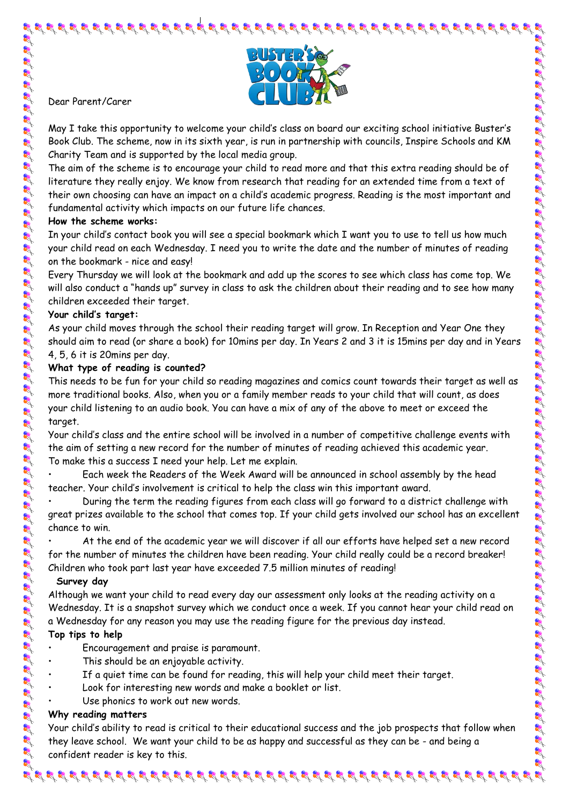

Dear Parent/Carer

May I take this opportunity to welcome your child's class on board our exciting school initiative Buster's Book Club. The scheme, now in its sixth year, is run in partnership with councils, Inspire Schools and KM Charity Team and is supported by the local media group.

The aim of the scheme is to encourage your child to read more and that this extra reading should be of literature they really enjoy. We know from research that reading for an extended time from a text of their own choosing can have an impact on a child's academic progress. Reading is the most important and fundamental activity which impacts on our future life chances.

#### **How the scheme works:**

In your child's contact book you will see a special bookmark which I want you to use to tell us how much your child read on each Wednesday. I need you to write the date and the number of minutes of reading on the bookmark - nice and easy!

Every Thursday we will look at the bookmark and add up the scores to see which class has come top. We will also conduct a "hands up" survey in class to ask the children about their reading and to see how many children exceeded their target.

#### **Your child's target:**

As your child moves through the school their reading target will grow. In Reception and Year One they should aim to read (or share a book) for 10mins per day. In Years 2 and 3 it is 15mins per day and in Years 4, 5, 6 it is 20mins per day.

## **What type of reading is counted?**

This needs to be fun for your child so reading magazines and comics count towards their target as well as more traditional books. Also, when you or a family member reads to your child that will count, as does your child listening to an audio book. You can have a mix of any of the above to meet or exceed the target.

Your child's class and the entire school will be involved in a number of competitive challenge events with the aim of setting a new record for the number of minutes of reading achieved this academic year. To make this a success I need your help. Let me explain.

• Each week the Readers of the Week Award will be announced in school assembly by the head teacher. Your child's involvement is critical to help the class win this important award.

• During the term the reading figures from each class will go forward to a district challenge with great prizes available to the school that comes top. If your child gets involved our school has an excellent chance to win.

• At the end of the academic year we will discover if all our efforts have helped set a new record for the number of minutes the children have been reading. Your child really could be a record breaker! Children who took part last year have exceeded 7.5 million minutes of reading!

#### **Survey day**

Although we want your child to read every day our assessment only looks at the reading activity on a Wednesday. It is a snapshot survey which we conduct once a week. If you cannot hear your child read on a Wednesday for any reason you may use the reading figure for the previous day instead.

## **Top tips to help**

- Encouragement and praise is paramount.
	- This should be an enjoyable activity.
- If a quiet time can be found for reading, this will help your child meet their target.
- Look for interesting new words and make a booklet or list.
- Use phonics to work out new words.

## **Why reading matters**

Your child's ability to read is critical to their educational success and the job prospects that follow when they leave school. We want your child to be as happy and successful as they can be - and being a confident reader is key to this.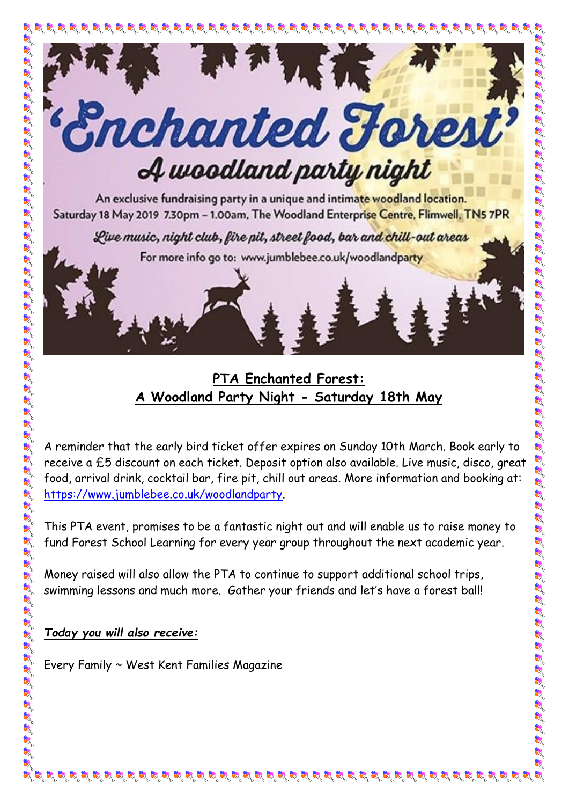

Live music, night club, fire pit, street food, bar and chill-out areas

For more info go to: www.jumblebee.co.uk/woodlandparty

# **PTA Enchanted Forest: A Woodland Party Night - Saturday 18th May**

A reminder that the early bird ticket offer expires on Sunday 10th March. Book early to receive a £5 discount on each ticket. Deposit option also available. Live music, disco, great food, arrival drink, cocktail bar, fire pit, chill out areas. More information and booking at: [https://www.jumblebee.co.uk/woodlandparty.](https://www.jumblebee.co.uk/woodlandparty)

This PTA event, promises to be a fantastic night out and will enable us to raise money to fund Forest School Learning for every year group throughout the next academic year.

Money raised will also allow the PTA to continue to support additional school trips, swimming lessons and much more. Gather your friends and let's have a forest ball!

**20202020202020202** 

# *Today you will also receive:*

E E E E E E E E E E E E E E E E E E

Every Family ~ West Kent Families Magazine